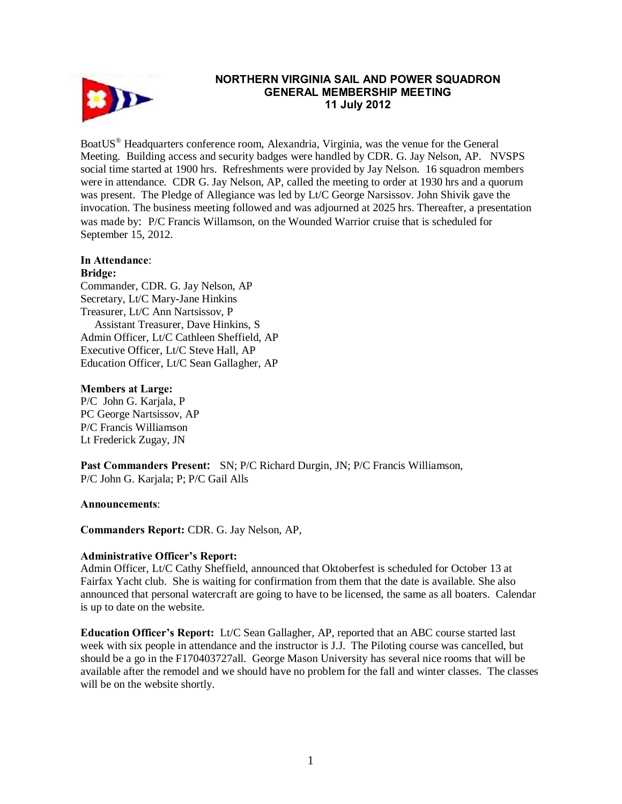

# **NORTHERN VIRGINIA SAIL AND POWER SQUADRON GENERAL MEMBERSHIP MEETING 11 July 2012**

BoatUS® Headquarters conference room, Alexandria, Virginia, was the venue for the General Meeting. Building access and security badges were handled by CDR. G. Jay Nelson, AP. NVSPS social time started at 1900 hrs. Refreshments were provided by Jay Nelson. 16 squadron members were in attendance. CDR G. Jay Nelson, AP, called the meeting to order at 1930 hrs and a quorum was present. The Pledge of Allegiance was led by Lt/C George Narsissov. John Shivik gave the invocation. The business meeting followed and was adjourned at 2025 hrs. Thereafter, a presentation was made by: P/C Francis Willamson, on the Wounded Warrior cruise that is scheduled for September 15, 2012.

### **In Attendance**:

#### **Bridge:**

Commander, CDR. G. Jay Nelson, AP Secretary, Lt/C Mary-Jane Hinkins Treasurer, Lt/C Ann Nartsissov, P Assistant Treasurer, Dave Hinkins, S Admin Officer, Lt/C Cathleen Sheffield, AP Executive Officer, Lt/C Steve Hall, AP Education Officer, Lt/C Sean Gallagher, AP

### **Members at Large:**

P/C John G. Karjala, P PC George Nartsissov, AP P/C Francis Williamson Lt Frederick Zugay, JN

**Past Commanders Present:** SN; P/C Richard Durgin, JN; P/C Francis Williamson, P/C John G. Karjala; P; P/C Gail Alls

### **Announcements**:

**Commanders Report:** CDR. G. Jay Nelson, AP,

### **Administrative Officer's Report:**

Admin Officer, Lt/C Cathy Sheffield, announced that Oktoberfest is scheduled for October 13 at Fairfax Yacht club. She is waiting for confirmation from them that the date is available. She also announced that personal watercraft are going to have to be licensed, the same as all boaters. Calendar is up to date on the website.

**Education Officer's Report:** Lt/C Sean Gallagher, AP, reported that an ABC course started last week with six people in attendance and the instructor is J.J. The Piloting course was cancelled, but should be a go in the F170403727all. George Mason University has several nice rooms that will be available after the remodel and we should have no problem for the fall and winter classes. The classes will be on the website shortly.